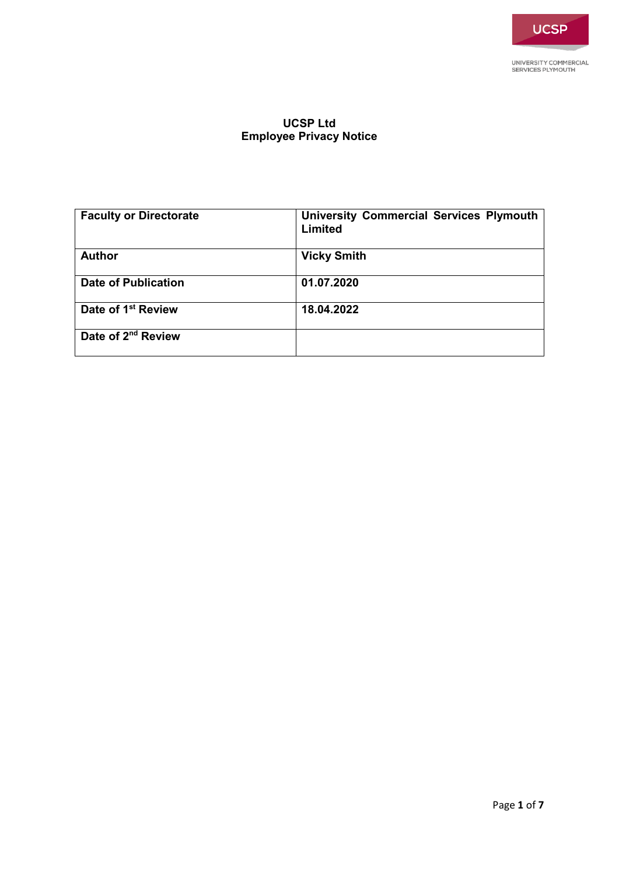# **UCSP Ltd Employee Privacy Notice**

| <b>Faculty or Directorate</b>  | <b>University Commercial Services Plymouth</b><br>Limited |
|--------------------------------|-----------------------------------------------------------|
| <b>Author</b>                  | <b>Vicky Smith</b>                                        |
| <b>Date of Publication</b>     | 01.07.2020                                                |
| Date of 1 <sup>st</sup> Review | 18.04.2022                                                |
| Date of 2 <sup>nd</sup> Review |                                                           |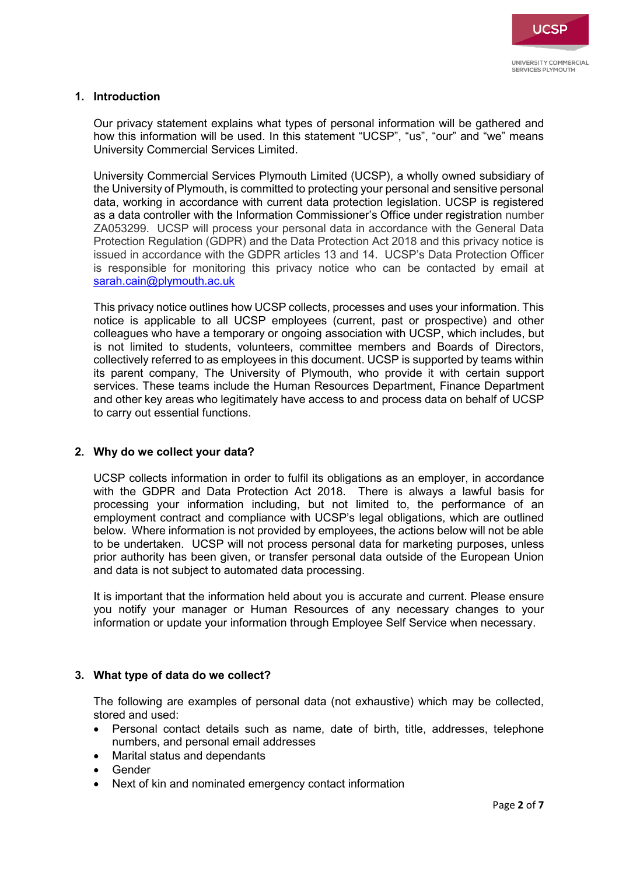

### **1. Introduction**

Our privacy statement explains what types of personal information will be gathered and how this information will be used. In this statement "UCSP", "us", "our" and "we" means University Commercial Services Limited.

University Commercial Services Plymouth Limited (UCSP), a wholly owned subsidiary of the University of Plymouth, is committed to protecting your personal and sensitive personal data, working in accordance with current data protection legislation. UCSP is registered as a data controller with the Information Commissioner's Office under registration number ZA053299. UCSP will process your personal data in accordance with the General Data Protection Regulation (GDPR) and the Data Protection Act 2018 and this privacy notice is issued in accordance with the GDPR articles 13 and 14. UCSP's Data Protection Officer is responsible for monitoring this privacy notice who can be contacted by email at [sarah.cain@plymouth.ac.uk](mailto:sarah.cain@plymouth.ac.uk)

This privacy notice outlines how UCSP collects, processes and uses your information. This notice is applicable to all UCSP employees (current, past or prospective) and other colleagues who have a temporary or ongoing association with UCSP, which includes, but is not limited to students, volunteers, committee members and Boards of Directors, collectively referred to as employees in this document. UCSP is supported by teams within its parent company, The University of Plymouth, who provide it with certain support services. These teams include the Human Resources Department, Finance Department and other key areas who legitimately have access to and process data on behalf of UCSP to carry out essential functions.

#### **2. Why do we collect your data?**

UCSP collects information in order to fulfil its obligations as an employer, in accordance with the GDPR and Data Protection Act 2018. There is always a [lawful basis for](https://ico.org.uk/for-organisations/guide-to-the-general-data-protection-regulation-gdpr/lawful-basis-for-processing/)  [processing](https://ico.org.uk/for-organisations/guide-to-the-general-data-protection-regulation-gdpr/lawful-basis-for-processing/) your information including, but not limited to, the performance of an employment contract and compliance with UCSP's legal obligations, which are outlined below. Where information is not provided by employees, the actions below will not be able to be undertaken. UCSP will not process personal data for marketing purposes, unless prior authority has been given, or transfer personal data outside of the European Union and data is not subject to automated data processing.

It is important that the information held about you is accurate and current. Please ensure you notify your manager or Human Resources of any necessary changes to your information or update your information through Employee Self Service when necessary.

## **3. What type of data do we collect?**

The following are examples of personal data (not exhaustive) which may be collected, stored and used:

- Personal contact details such as name, date of birth, title, addresses, telephone numbers, and personal email addresses
- Marital status and dependants
- Gender
- Next of kin and nominated emergency contact information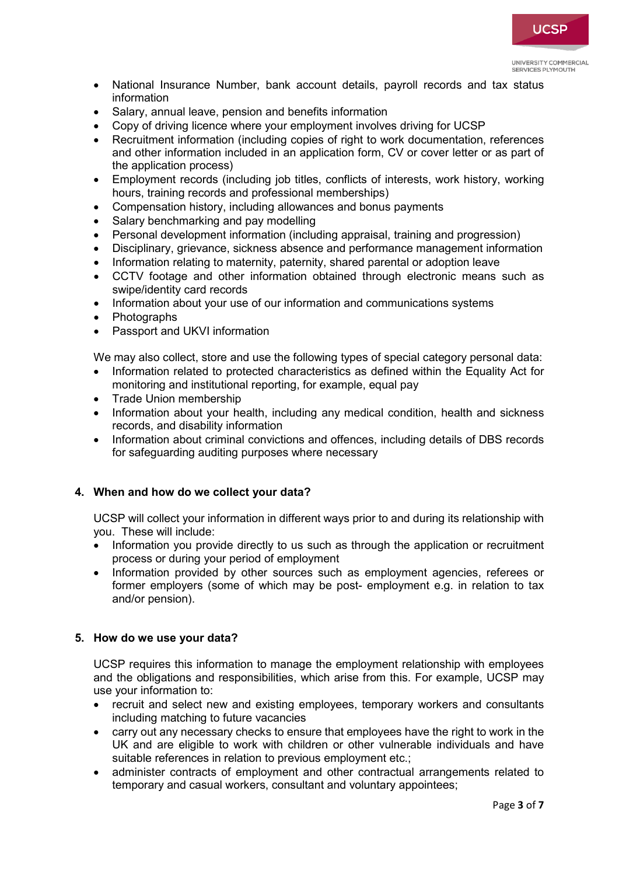

UNIVERSITY COMMERCIAL SERVICES DI YMOUTH

- National Insurance Number, bank account details, payroll records and tax status information
- Salary, annual leave, pension and benefits information
- Copy of driving licence where your employment involves driving for UCSP
- Recruitment information (including copies of right to work documentation, references and other information included in an application form, CV or cover letter or as part of the application process)
- Employment records (including job titles, conflicts of interests, work history, working hours, training records and professional memberships)
- Compensation history, including allowances and bonus payments
- Salary benchmarking and pay modelling
- Personal development information (including appraisal, training and progression)
- Disciplinary, grievance, sickness absence and performance management information
- Information relating to maternity, paternity, shared parental or adoption leave
- CCTV footage and other information obtained through electronic means such as swipe/identity card records
- Information about your use of our information and communications systems
- Photographs
- Passport and UKVI information

We may also collect, store and use the following types of special category personal data:

- Information related to protected characteristics as defined within the Equality Act for monitoring and institutional reporting, for example, equal pay
- Trade Union membership
- Information about your health, including any medical condition, health and sickness records, and disability information
- Information about criminal convictions and offences, including details of DBS records for safeguarding auditing purposes where necessary

## **4. When and how do we collect your data?**

UCSP will collect your information in different ways prior to and during its relationship with you. These will include:

- Information you provide directly to us such as through the application or recruitment process or during your period of employment
- Information provided by other sources such as employment agencies, referees or former employers (some of which may be post- employment e.g. in relation to tax and/or pension).

## **5. How do we use your data?**

UCSP requires this information to manage the employment relationship with employees and the obligations and responsibilities, which arise from this. For example, UCSP may use your information to:

- recruit and select new and existing employees, temporary workers and consultants including matching to future vacancies
- carry out any necessary checks to ensure that employees have the right to work in the UK and are eligible to work with children or other vulnerable individuals and have suitable references in relation to previous employment etc.;
- administer contracts of employment and other contractual arrangements related to temporary and casual workers, consultant and voluntary appointees;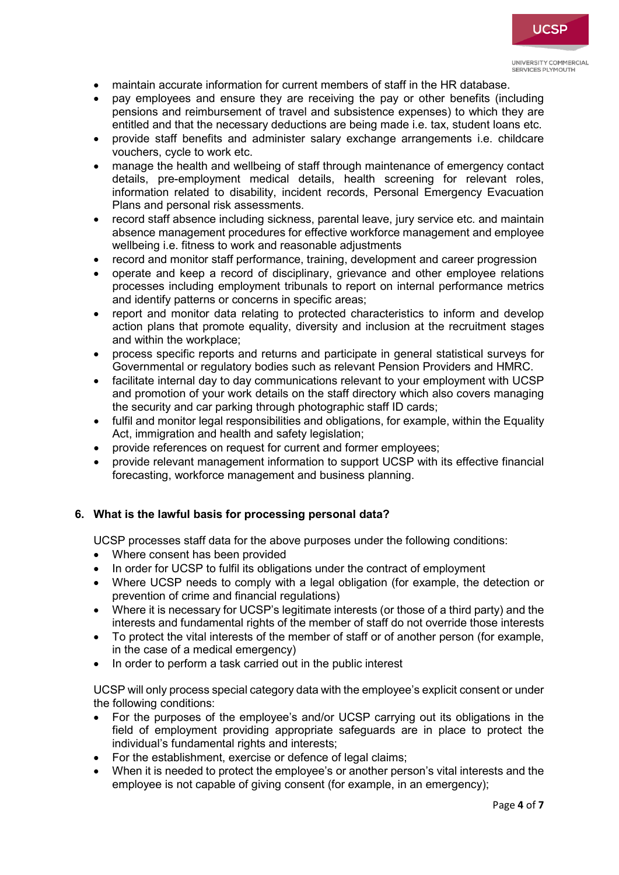- maintain accurate information for current members of staff in the HR database.
- pay employees and ensure they are receiving the pay or other benefits (including pensions and reimbursement of travel and subsistence expenses) to which they are entitled and that the necessary deductions are being made i.e. tax, student loans etc.
- provide staff benefits and administer salary exchange arrangements i.e. childcare vouchers, cycle to work etc.
- manage the health and wellbeing of staff through maintenance of emergency contact details, pre-employment medical details, health screening for relevant roles, information related to disability, incident records, Personal Emergency Evacuation Plans and personal risk assessments.
- record staff absence including sickness, parental leave, jury service etc. and maintain absence management procedures for effective workforce management and employee wellbeing i.e. fitness to work and reasonable adjustments
- record and monitor staff performance, training, development and career progression
- operate and keep a record of disciplinary, grievance and other employee relations processes including employment tribunals to report on internal performance metrics and identify patterns or concerns in specific areas;
- report and monitor data relating to protected characteristics to inform and develop action plans that promote equality, diversity and inclusion at the recruitment stages and within the workplace;
- process specific reports and returns and participate in general statistical surveys for Governmental or regulatory bodies such as relevant Pension Providers and HMRC.
- facilitate internal day to day communications relevant to your employment with UCSP and promotion of your work details on the staff directory which also covers managing the security and car parking through photographic staff ID cards;
- fulfil and monitor legal responsibilities and obligations, for example, within the Equality Act, immigration and health and safety legislation;
- provide references on request for current and former employees;
- provide relevant management information to support UCSP with its effective financial forecasting, workforce management and business planning.

## **6. What is the lawful basis for processing personal data?**

UCSP processes staff data for the above purposes under the following conditions:

- Where consent has been provided
- In order for UCSP to fulfil its obligations under the contract of employment
- Where UCSP needs to comply with a legal obligation (for example, the detection or prevention of crime and financial regulations)
- Where it is necessary for UCSP's legitimate interests (or those of a third party) and the interests and fundamental rights of the member of staff do not override those interests
- To protect the vital interests of the member of staff or of another person (for example, in the case of a medical emergency)
- In order to perform a task carried out in the public interest

UCSP will only process special category data with the employee's explicit consent or under the following conditions:

- For the purposes of the employee's and/or UCSP carrying out its obligations in the field of employment providing appropriate safeguards are in place to protect the individual's fundamental rights and interests:
- For the establishment, exercise or defence of legal claims;
- When it is needed to protect the employee's or another person's vital interests and the employee is not capable of giving consent (for example, in an emergency);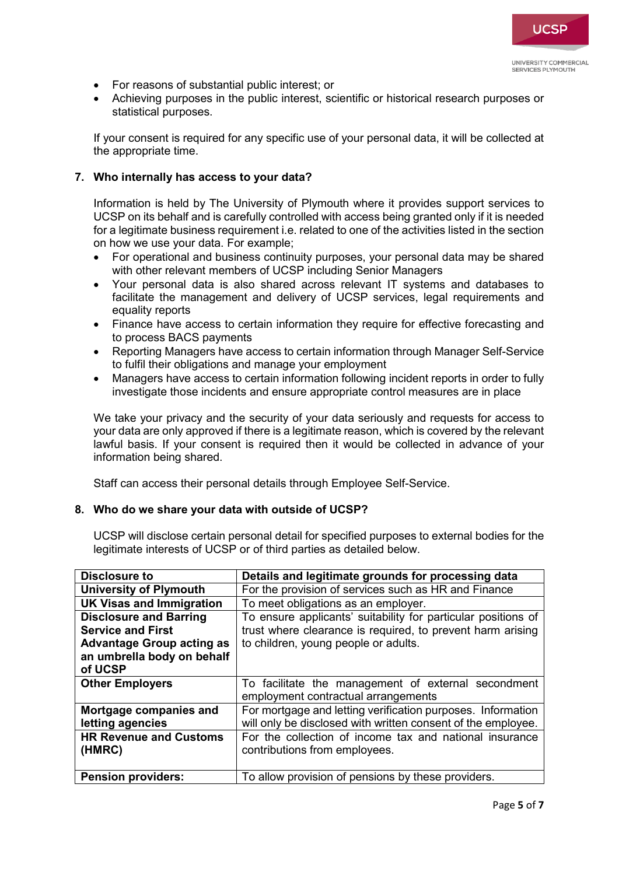- For reasons of substantial public interest; or
- Achieving purposes in the public interest, scientific or historical research purposes or statistical purposes.

If your consent is required for any specific use of your personal data, it will be collected at the appropriate time.

### **7. Who internally has access to your data?**

Information is held by The University of Plymouth where it provides support services to UCSP on its behalf and is carefully controlled with access being granted only if it is needed for a legitimate business requirement i.e. related to one of the activities listed in the section on how we use your data. For example;

- For operational and business continuity purposes, your personal data may be shared with other relevant members of UCSP including Senior Managers
- Your personal data is also shared across relevant IT systems and databases to facilitate the management and delivery of UCSP services, legal requirements and equality reports
- Finance have access to certain information they require for effective forecasting and to process BACS payments
- Reporting Managers have access to certain information through Manager Self-Service to fulfil their obligations and manage your employment
- Managers have access to certain information following incident reports in order to fully investigate those incidents and ensure appropriate control measures are in place

We take your privacy and the security of your data seriously and requests for access to your data are only approved if there is a legitimate reason, which is covered by the relevant lawful basis. If your consent is required then it would be collected in advance of your information being shared.

Staff can access their personal details through Employee Self-Service.

#### **8. Who do we share your data with outside of UCSP?**

UCSP will disclose certain personal detail for specified purposes to external bodies for the legitimate interests of UCSP or of third parties as detailed below.

| Disclosure to                    | Details and legitimate grounds for processing data            |
|----------------------------------|---------------------------------------------------------------|
| <b>University of Plymouth</b>    | For the provision of services such as HR and Finance          |
| <b>UK Visas and Immigration</b>  | To meet obligations as an employer.                           |
| <b>Disclosure and Barring</b>    | To ensure applicants' suitability for particular positions of |
| <b>Service and First</b>         | trust where clearance is required, to prevent harm arising    |
| <b>Advantage Group acting as</b> | to children, young people or adults.                          |
| an umbrella body on behalf       |                                                               |
| of UCSP                          |                                                               |
| <b>Other Employers</b>           | To facilitate the management of external secondment           |
|                                  | employment contractual arrangements                           |
| Mortgage companies and           | For mortgage and letting verification purposes. Information   |
| letting agencies                 | will only be disclosed with written consent of the employee.  |
| <b>HR Revenue and Customs</b>    | For the collection of income tax and national insurance       |
| (HMRC)                           | contributions from employees.                                 |
|                                  |                                                               |
| <b>Pension providers:</b>        | To allow provision of pensions by these providers.            |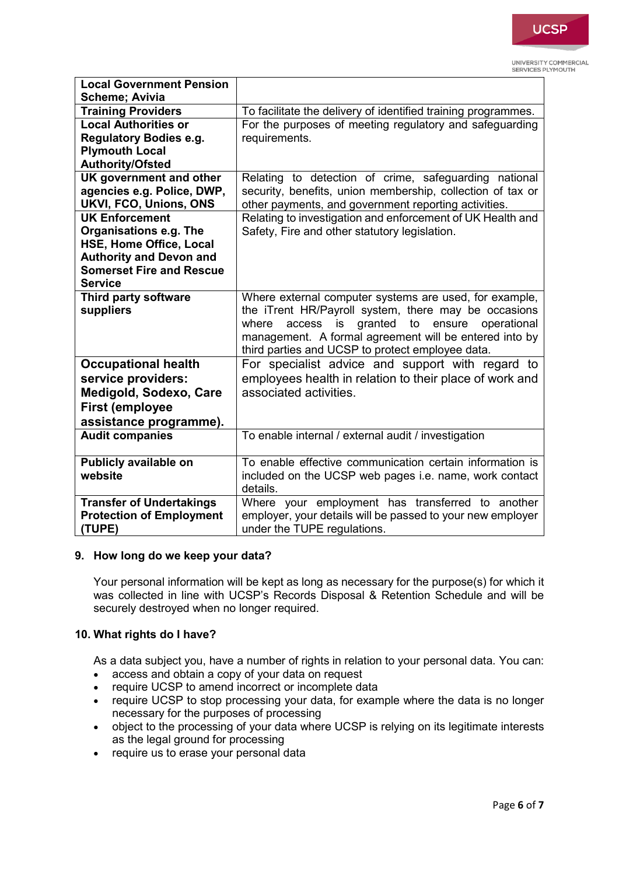# **UCSP**

UNIVERSITY COMMERCIAL SERVICES PLYMOUTH

| <b>Local Government Pension</b> |                                                                 |
|---------------------------------|-----------------------------------------------------------------|
| <b>Scheme; Avivia</b>           |                                                                 |
| <b>Training Providers</b>       | To facilitate the delivery of identified training programmes.   |
| <b>Local Authorities or</b>     | For the purposes of meeting regulatory and safeguarding         |
| <b>Regulatory Bodies e.g.</b>   | requirements.                                                   |
| <b>Plymouth Local</b>           |                                                                 |
| <b>Authority/Ofsted</b>         |                                                                 |
| UK government and other         | Relating to detection of crime, safeguarding national           |
| agencies e.g. Police, DWP,      | security, benefits, union membership, collection of tax or      |
| UKVI, FCO, Unions, ONS          | other payments, and government reporting activities.            |
| <b>UK Enforcement</b>           | Relating to investigation and enforcement of UK Health and      |
| Organisations e.g. The          | Safety, Fire and other statutory legislation.                   |
| HSE, Home Office, Local         |                                                                 |
| <b>Authority and Devon and</b>  |                                                                 |
| <b>Somerset Fire and Rescue</b> |                                                                 |
| <b>Service</b>                  |                                                                 |
| Third party software            | Where external computer systems are used, for example,          |
| suppliers                       | the iTrent HR/Payroll system, there may be occasions            |
|                                 | granted<br>ensure<br>operational<br>where<br>access<br>to<br>is |
|                                 | management. A formal agreement will be entered into by          |
|                                 | third parties and UCSP to protect employee data.                |
| <b>Occupational health</b>      | For specialist advice and support with regard to                |
| service providers:              | employees health in relation to their place of work and         |
| Medigold, Sodexo, Care          | associated activities.                                          |
| <b>First (employee</b>          |                                                                 |
| assistance programme).          |                                                                 |
| <b>Audit companies</b>          | To enable internal / external audit / investigation             |
|                                 |                                                                 |
| Publicly available on           | To enable effective communication certain information is        |
| website                         | included on the UCSP web pages i.e. name, work contact          |
|                                 | details.                                                        |
| <b>Transfer of Undertakings</b> | Where your employment has transferred to another                |
| <b>Protection of Employment</b> | employer, your details will be passed to your new employer      |
| (TUPE)                          | under the TUPE regulations.                                     |

## **9. How long do we keep your data?**

Your personal information will be kept as long as necessary for the purpose(s) for which it was collected in line with UCSP's Records Disposal & Retention Schedule and will be securely destroyed when no longer required.

## **10. What rights do I have?**

As a data subject you, have a number of rights in relation to your personal data. You can:

- access and obtain a copy of your data on request
- require UCSP to amend incorrect or incomplete data
- require UCSP to stop processing your data, for example where the data is no longer necessary for the purposes of processing
- object to the processing of your data where UCSP is relying on its legitimate interests as the legal ground for processing
- require us to erase your personal data